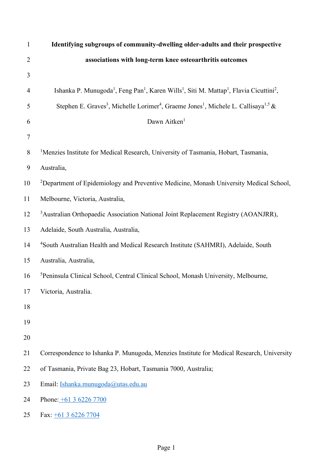| $\mathbf{1}$     | Identifying subgroups of community-dwelling older-adults and their prospective                                                                      |
|------------------|-----------------------------------------------------------------------------------------------------------------------------------------------------|
| $\overline{2}$   | associations with long-term knee osteoarthritis outcomes                                                                                            |
| 3                |                                                                                                                                                     |
| 4                | Ishanka P. Munugoda <sup>1</sup> , Feng Pan <sup>1</sup> , Karen Wills <sup>1</sup> , Siti M. Mattap <sup>1</sup> , Flavia Cicuttini <sup>2</sup> , |
| 5                | Stephen E. Graves <sup>3</sup> , Michelle Lorimer <sup>4</sup> , Graeme Jones <sup>1</sup> , Michele L. Callisaya <sup>1,5</sup> &                  |
| 6                | Dawn Aitken <sup>1</sup>                                                                                                                            |
| $\boldsymbol{7}$ |                                                                                                                                                     |
| 8                | <sup>1</sup> Menzies Institute for Medical Research, University of Tasmania, Hobart, Tasmania,                                                      |
| 9                | Australia,                                                                                                                                          |
| 10               | <sup>2</sup> Department of Epidemiology and Preventive Medicine, Monash University Medical School,                                                  |
| 11               | Melbourne, Victoria, Australia,                                                                                                                     |
| 12               | <sup>3</sup> Australian Orthopaedic Association National Joint Replacement Registry (AOANJRR),                                                      |
| 13               | Adelaide, South Australia, Australia,                                                                                                               |
| 14               | <sup>4</sup> South Australian Health and Medical Research Institute (SAHMRI), Adelaide, South                                                       |
| 15               | Australia, Australia,                                                                                                                               |
| 16               | <sup>5</sup> Peninsula Clinical School, Central Clinical School, Monash University, Melbourne,                                                      |
| 17               | Victoria, Australia.                                                                                                                                |
| 18               |                                                                                                                                                     |
| 19               |                                                                                                                                                     |
| 20               |                                                                                                                                                     |
| 21               | Correspondence to Ishanka P. Munugoda, Menzies Institute for Medical Research, University                                                           |
| 22               | of Tasmania, Private Bag 23, Hobart, Tasmania 7000, Australia;                                                                                      |
| 23               | Email: Ishanka.munugoda@utas.edu.au                                                                                                                 |
| 24               | Phone: $\pm 61$ 3 6226 7700                                                                                                                         |
| 25               | Fax: $\pm 61$ 3 6226 7704                                                                                                                           |
|                  |                                                                                                                                                     |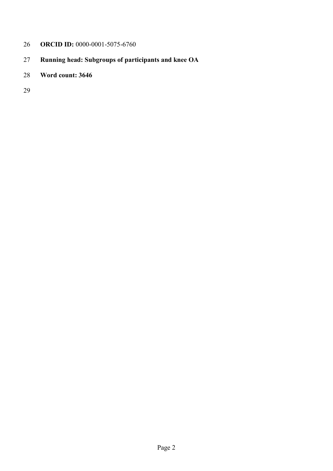# **ORCID ID:** 0000-0001-5075-6760

- **Running head: Subgroups of participants and knee OA**
- **Word count: 3646**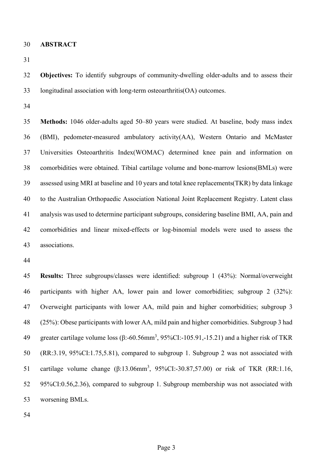**ABSTRACT**

 **Objectives:** To identify subgroups of community-dwelling older-adults and to assess their longitudinal association with long-term osteoarthritis(OA) outcomes.

 **Methods:** 1046 older-adults aged 50–80 years were studied. At baseline, body mass index (BMI), pedometer-measured ambulatory activity(AA), Western Ontario and McMaster Universities Osteoarthritis Index(WOMAC) determined knee pain and information on comorbidities were obtained. Tibial cartilage volume and bone-marrow lesions(BMLs) were assessed using MRI at baseline and 10 years and total knee replacements(TKR) by data linkage to the Australian Orthopaedic Association National Joint Replacement Registry. Latent class analysis was used to determine participant subgroups, considering baseline BMI, AA, pain and comorbidities and linear mixed-effects or log-binomial models were used to assess the associations.

 **Results:** Three subgroups/classes were identified: subgroup 1 (43%): Normal/overweight participants with higher AA, lower pain and lower comorbidities; subgroup 2 (32%): Overweight participants with lower AA, mild pain and higher comorbidities; subgroup 3 (25%): Obese participants with lower AA, mild pain and higher comorbidities. Subgroup 3 had greater cartilage volume loss (β:-60.56mm<sup>3</sup> , 95%CI:-105.91,-15.21) and a higher risk of TKR (RR:3.19, 95%CI:1.75,5.81), compared to subgroup 1. Subgroup 2 was not associated with 51 cartilage volume change (β:13.06mm<sup>3</sup>, 95%CI:-30.87,57.00) or risk of TKR (RR:1.16, 95%CI:0.56,2.36), compared to subgroup 1. Subgroup membership was not associated with worsening BMLs.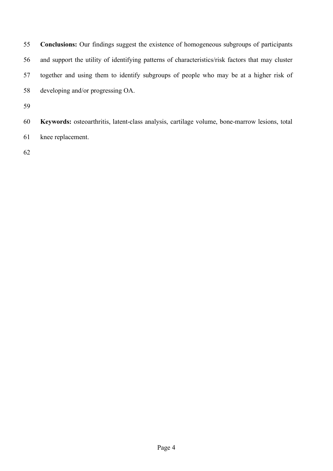**Conclusions:** Our findings suggest the existence of homogeneous subgroups of participants and support the utility of identifying patterns of characteristics/risk factors that may cluster together and using them to identify subgroups of people who may be at a higher risk of developing and/or progressing OA. 

 **Keywords:** osteoarthritis, latent-class analysis, cartilage volume, bone-marrow lesions, total knee replacement.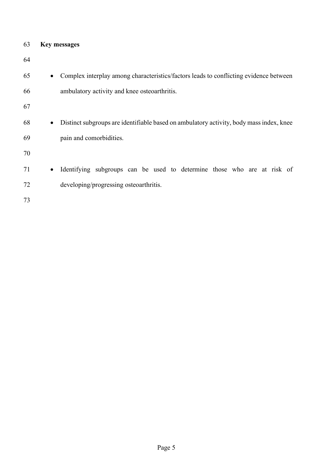| 63 | <b>Key messages</b> |
|----|---------------------|
|    |                     |

| 64 |           |                                                                                         |
|----|-----------|-----------------------------------------------------------------------------------------|
| 65 | $\bullet$ | Complex interplay among characteristics/factors leads to conflicting evidence between   |
| 66 |           | ambulatory activity and knee osteoarthritis.                                            |
| 67 |           |                                                                                         |
| 68 | $\bullet$ | Distinct subgroups are identifiable based on ambulatory activity, body mass index, knee |
| 69 |           | pain and comorbidities.                                                                 |
| 70 |           |                                                                                         |
| 71 | $\bullet$ | Identifying subgroups can be used to determine those who are at risk of                 |
| 72 |           | developing/progressing osteoarthritis.                                                  |
|    |           |                                                                                         |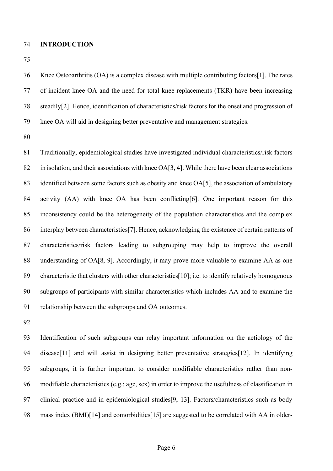#### **INTRODUCTION**

 Knee Osteoarthritis (OA) is a complex disease with multiple contributing factors[1]. The rates of incident knee OA and the need for total knee replacements (TKR) have been increasing steadily[2]. Hence, identification of characteristics/risk factors for the onset and progression of knee OA will aid in designing better preventative and management strategies.

 Traditionally, epidemiological studies have investigated individual characteristics/risk factors in isolation, and their associations with knee OA[3, 4]. While there have been clear associations identified between some factors such as obesity and knee OA[5], the association of ambulatory activity (AA) with knee OA has been conflicting[6]. One important reason for this inconsistency could be the heterogeneity of the population characteristics and the complex interplay between characteristics[7]. Hence, acknowledging the existence of certain patterns of characteristics/risk factors leading to subgrouping may help to improve the overall understanding of OA[8, 9]. Accordingly, it may prove more valuable to examine AA as one characteristic that clusters with other characteristics[10]; i.e. to identify relatively homogenous subgroups of participants with similar characteristics which includes AA and to examine the relationship between the subgroups and OA outcomes.

 Identification of such subgroups can relay important information on the aetiology of the disease[11] and will assist in designing better preventative strategies[12]. In identifying subgroups, it is further important to consider modifiable characteristics rather than non- modifiable characteristics (e.g.: age, sex) in order to improve the usefulness of classification in clinical practice and in epidemiological studies[9, 13]. Factors/characteristics such as body mass index (BMI)[14] and comorbidities[15] are suggested to be correlated with AA in older-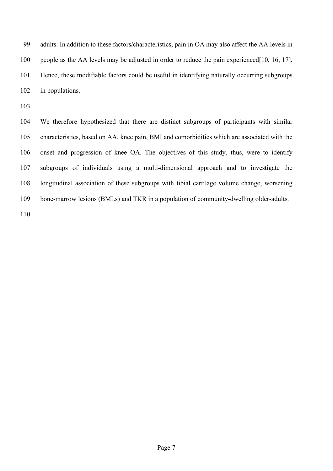adults. In addition to these factors/characteristics, pain in OA may also affect the AA levels in people as the AA levels may be adjusted in order to reduce the pain experienced[10, 16, 17]. Hence, these modifiable factors could be useful in identifying naturally occurring subgroups in populations.

 We therefore hypothesized that there are distinct subgroups of participants with similar characteristics, based on AA, knee pain, BMI and comorbidities which are associated with the onset and progression of knee OA. The objectives of this study, thus, were to identify subgroups of individuals using a multi-dimensional approach and to investigate the longitudinal association of these subgroups with tibial cartilage volume change, worsening bone-marrow lesions (BMLs) and TKR in a population of community-dwelling older-adults.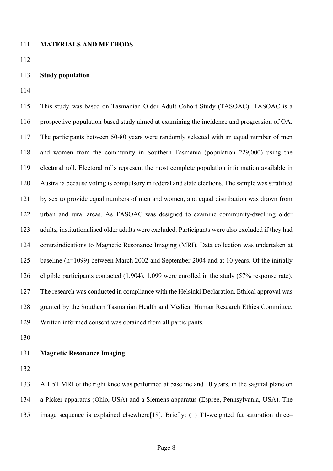#### **MATERIALS AND METHODS**

### **Study population**

 This study was based on Tasmanian Older Adult Cohort Study (TASOAC). TASOAC is a prospective population-based study aimed at examining the incidence and progression of OA. The participants between 50-80 years were randomly selected with an equal number of men and women from the community in Southern Tasmania (population 229,000) using the electoral roll. Electoral rolls represent the most complete population information available in Australia because voting is compulsory in federal and state elections. The sample was stratified by sex to provide equal numbers of men and women, and equal distribution was drawn from urban and rural areas. As TASOAC was designed to examine community-dwelling older adults, institutionalised older adults were excluded. Participants were also excluded if they had contraindications to Magnetic Resonance Imaging **(**MRI). Data collection was undertaken at baseline (n=1099) between March 2002 and September 2004 and at 10 years. Of the initially eligible participants contacted (1,904), 1,099 were enrolled in the study (57% response rate). The research was conducted in compliance with the Helsinki Declaration. Ethical approval was granted by the Southern Tasmanian Health and Medical Human Research Ethics Committee. Written informed consent was obtained from all participants.

# **Magnetic Resonance Imaging**

 A 1.5T MRI of the right knee was performed at baseline and 10 years, in the sagittal plane on a Picker apparatus (Ohio, USA) and a Siemens apparatus (Espree, Pennsylvania, USA). The image sequence is explained elsewhere[18]. Briefly: (1) T1-weighted fat saturation three–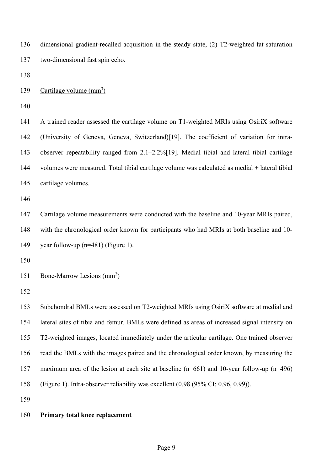dimensional gradient-recalled acquisition in the steady state, (2) T2-weighted fat saturation two-dimensional fast spin echo.

139 Cartilage volume  $\text{(mm}^3)$ 

 A trained reader assessed the cartilage volume on T1-weighted MRIs using OsiriX software (University of Geneva, Geneva, Switzerland)[19]. The coefficient of variation for intra- observer repeatability ranged from 2.1–2.2%[19]. Medial tibial and lateral tibial cartilage volumes were measured. Total tibial cartilage volume was calculated as medial + lateral tibial cartilage volumes.

 Cartilage volume measurements were conducted with the baseline and 10-year MRIs paired, with the chronological order known for participants who had MRIs at both baseline and 10- year follow-up (n=481) (Figure 1).

151 Bone-Marrow Lesions  $\text{(mm)}^2$ 

 Subchondral BMLs were assessed on T2-weighted MRIs using OsiriX software at medial and lateral sites of tibia and femur. BMLs were defined as areas of increased signal intensity on T2-weighted images, located immediately under the articular cartilage. One trained observer read the BMLs with the images paired and the chronological order known, by measuring the maximum area of the lesion at each site at baseline (n=661) and 10-year follow-up (n=496) (Figure 1). Intra-observer reliability was excellent (0.98 (95% CI; 0.96, 0.99)).

# **Primary total knee replacement**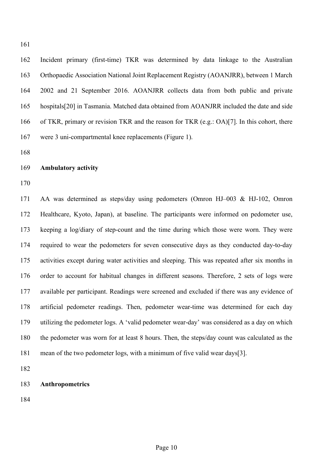Incident primary (first-time) TKR was determined by data linkage to the Australian Orthopaedic Association National Joint Replacement Registry (AOANJRR), between 1 March 2002 and 21 September 2016. AOANJRR collects data from both public and private hospitals[20] in Tasmania. Matched data obtained from AOANJRR included the date and side of TKR, primary or revision TKR and the reason for TKR (e.g.: OA)[7]. In this cohort, there were 3 uni-compartmental knee replacements (Figure 1).

## **Ambulatory activity**

 AA was determined as steps/day using pedometers (Omron HJ–003 & HJ-102, Omron Healthcare, Kyoto, Japan), at baseline. The participants were informed on pedometer use, keeping a log/diary of step-count and the time during which those were worn. They were required to wear the pedometers for seven consecutive days as they conducted day-to-day activities except during water activities and sleeping. This was repeated after six months in order to account for habitual changes in different seasons. Therefore, 2 sets of logs were available per participant. Readings were screened and excluded if there was any evidence of artificial pedometer readings. Then, pedometer wear-time was determined for each day utilizing the pedometer logs. A 'valid pedometer wear-day' was considered as a day on which the pedometer was worn for at least 8 hours. Then, the steps/day count was calculated as the mean of the two pedometer logs, with a minimum of five valid wear days[3].

**Anthropometrics**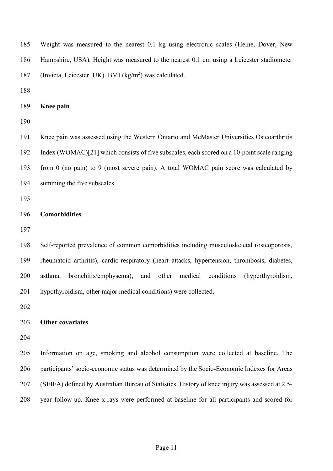Weight was measured to the nearest 0.1 kg using electronic scales (Heine, Dover, New Hampshire, USA). Height was measured to the nearest 0.1 cm using a Leicester stadiometer 187 (Invicta, Leicester, UK). BMI ( $kg/m<sup>2</sup>$ ) was calculated. **Knee pain** Knee pain was assessed using the Western Ontario and McMaster Universities Osteoarthritis Index (WOMAC)[21] which consists of five subscales, each scored on a 10-point scale ranging from 0 (no pain) to 9 (most severe pain). A total WOMAC pain score was calculated by summing the five subscales. **Comorbidities** Self-reported prevalence of common comorbidities including musculoskeletal (osteoporosis, rheumatoid arthritis), cardio-respiratory (heart attacks, hypertension, thrombosis, diabetes, asthma, bronchitis/emphysema), and other medical conditions (hyperthyroidism, hypothyroidism, other major medical conditions) were collected. **Other covariates** Information on age, smoking and alcohol consumption were collected at baseline. The participants' socio-economic status was determined by the Socio-Economic Indexes for Areas (SEIFA) defined by Australian Bureau of Statistics. History of knee injury was assessed at 2.5- year follow-up. Knee x-rays were performed at baseline for all participants and scored for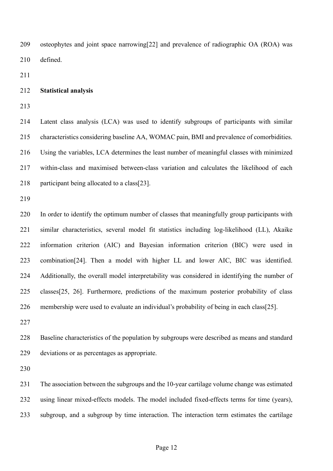osteophytes and joint space narrowing[22] and prevalence of radiographic OA (ROA) was defined.

# **Statistical analysis**

 Latent class analysis (LCA) was used to identify subgroups of participants with similar characteristics considering baseline AA, WOMAC pain, BMI and prevalence of comorbidities. Using the variables, LCA determines the least number of meaningful classes with minimized within-class and maximised between-class variation and calculates the likelihood of each participant being allocated to a class[23].

 In order to identify the optimum number of classes that meaningfully group participants with similar characteristics, several model fit statistics including log-likelihood (LL), Akaike information criterion (AIC) and Bayesian information criterion (BIC) were used in combination[24]. Then a model with higher LL and lower AIC, BIC was identified. Additionally, the overall model interpretability was considered in identifying the number of classes[25, 26]. Furthermore, predictions of the maximum posterior probability of class membership were used to evaluate an individual's probability of being in each class[25].

 Baseline characteristics of the population by subgroups were described as means and standard deviations or as percentages as appropriate.

 The association between the subgroups and the 10-year cartilage volume change was estimated using linear mixed-effects models. The model included fixed-effects terms for time (years), subgroup, and a subgroup by time interaction. The interaction term estimates the cartilage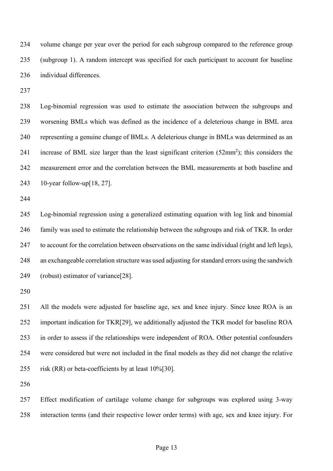volume change per year over the period for each subgroup compared to the reference group (subgroup 1). A random intercept was specified for each participant to account for baseline individual differences.

 Log-binomial regression was used to estimate the association between the subgroups and worsening BMLs which was defined as the incidence of a deleterious change in BML area representing a genuine change of BMLs. A deleterious change in BMLs was determined as an 241 increase of BML size larger than the least significant criterion  $(52mm^2)$ ; this considers the measurement error and the correlation between the BML measurements at both baseline and 10-year follow-up[18, 27].

 Log-binomial regression using a generalized estimating equation with log link and binomial family was used to estimate the relationship between the subgroups and risk of TKR. In order to account for the correlation between observations on the same individual (right and left legs), an exchangeable correlation structure was used adjusting for standard errors using the sandwich (robust) estimator of variance[28].

 All the models were adjusted for baseline age, sex and knee injury. Since knee ROA is an important indication for TKR[29], we additionally adjusted the TKR model for baseline ROA in order to assess if the relationships were independent of ROA. Other potential confounders were considered but were not included in the final models as they did not change the relative risk (RR) or beta-coefficients by at least 10%[30].

 Effect modification of cartilage volume change for subgroups was explored using 3-way interaction terms (and their respective lower order terms) with age, sex and knee injury. For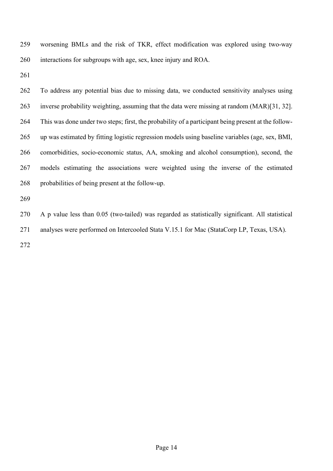worsening BMLs and the risk of TKR, effect modification was explored using two-way interactions for subgroups with age, sex, knee injury and ROA.

 To address any potential bias due to missing data, we conducted sensitivity analyses using inverse probability weighting, assuming that the data were missing at random (MAR)[31, 32]. This was done under two steps; first, the probability of a participant being present at the follow- up was estimated by fitting logistic regression models using baseline variables (age, sex, BMI, comorbidities, socio-economic status, AA, smoking and alcohol consumption), second, the models estimating the associations were weighted using the inverse of the estimated probabilities of being present at the follow-up.

 A p value less than 0.05 (two-tailed) was regarded as statistically significant. All statistical analyses were performed on Intercooled Stata V.15.1 for Mac (StataCorp LP, Texas, USA).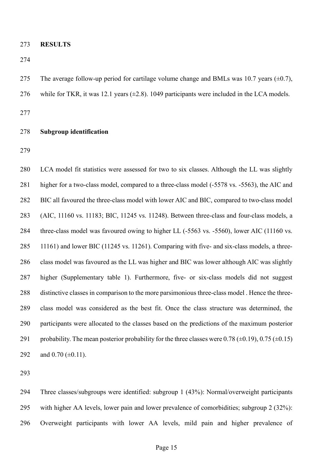**RESULTS**

275 The average follow-up period for cartilage volume change and BMLs was 10.7 years  $(\pm 0.7)$ , 276 while for TKR, it was 12.1 years  $(\pm 2.8)$ . 1049 participants were included in the LCA models. 

### **Subgroup identification**

 LCA model fit statistics were assessed for two to six classes. Although the LL was slightly higher for a two-class model, compared to a three-class model (-5578 vs. -5563), the AIC and BIC all favoured the three-class model with lower AIC and BIC, compared to two-class model (AIC, 11160 vs. 11183; BIC, 11245 vs. 11248). Between three-class and four-class models, a three-class model was favoured owing to higher LL (-5563 vs. -5560), lower AIC (11160 vs. 11161) and lower BIC (11245 vs. 11261). Comparing with five- and six-class models, a three- class model was favoured as the LL was higher and BIC was lower although AIC was slightly higher (Supplementary table 1). Furthermore, five- or six-class models did not suggest distinctive classes in comparison to the more parsimonious three-class model . Hence the three- class model was considered as the best fit. Once the class structure was determined, the participants were allocated to the classes based on the predictions of the maximum posterior 291 probability. The mean posterior probability for the three classes were 0.78 ( $\pm$ 0.19), 0.75 ( $\pm$ 0.15) 292 and  $0.70$  ( $\pm$ 0.11).

 Three classes/subgroups were identified: subgroup 1 (43%): Normal/overweight participants with higher AA levels, lower pain and lower prevalence of comorbidities; subgroup 2 (32%): Overweight participants with lower AA levels, mild pain and higher prevalence of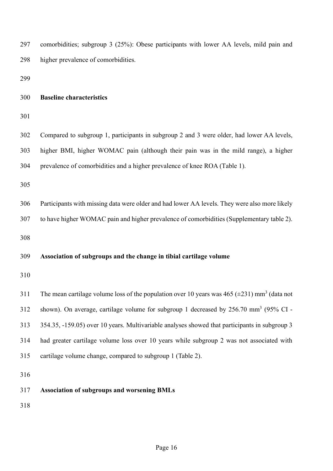| 297 | comorbidities; subgroup 3 (25%): Obese participants with lower AA levels, mild pain and                       |
|-----|---------------------------------------------------------------------------------------------------------------|
| 298 | higher prevalence of comorbidities.                                                                           |
| 299 |                                                                                                               |
| 300 | <b>Baseline characteristics</b>                                                                               |
| 301 |                                                                                                               |
| 302 | Compared to subgroup 1, participants in subgroup 2 and 3 were older, had lower AA levels,                     |
| 303 | higher BMI, higher WOMAC pain (although their pain was in the mild range), a higher                           |
| 304 | prevalence of comorbidities and a higher prevalence of knee ROA (Table 1).                                    |
| 305 |                                                                                                               |
| 306 | Participants with missing data were older and had lower AA levels. They were also more likely                 |
| 307 | to have higher WOMAC pain and higher prevalence of comorbidities (Supplementary table 2).                     |
| 308 |                                                                                                               |
| 309 | Association of subgroups and the change in tibial cartilage volume                                            |
| 310 |                                                                                                               |
| 311 | The mean cartilage volume loss of the population over 10 years was 465 ( $\pm$ 231) mm <sup>3</sup> (data not |
| 312 | shown). On average, cartilage volume for subgroup 1 decreased by 256.70 mm <sup>3</sup> (95% CI -             |
| 313 | 354.35, -159.05) over 10 years. Multivariable analyses showed that participants in subgroup 3                 |
| 314 | had greater cartilage volume loss over 10 years while subgroup 2 was not associated with                      |
| 315 | cartilage volume change, compared to subgroup 1 (Table 2).                                                    |
| 316 |                                                                                                               |
| 317 | <b>Association of subgroups and worsening BMLs</b>                                                            |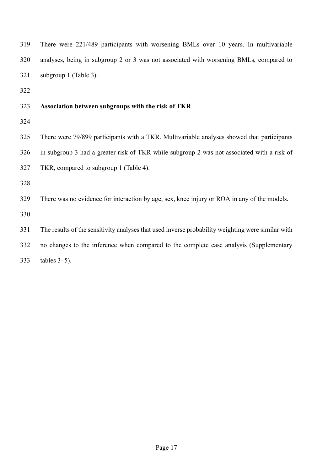There were 221/489 participants with worsening BMLs over 10 years. In multivariable analyses, being in subgroup 2 or 3 was not associated with worsening BMLs, compared to subgroup 1 (Table 3).

# **Association between subgroups with the risk of TKR**

 There were 79/899 participants with a TKR. Multivariable analyses showed that participants in subgroup 3 had a greater risk of TKR while subgroup 2 was not associated with a risk of TKR, compared to subgroup 1 (Table 4).

There was no evidence for interaction by age, sex, knee injury or ROA in any of the models.

The results of the sensitivity analyses that used inverse probability weighting were similar with

no changes to the inference when compared to the complete case analysis (Supplementary

tables 3–5).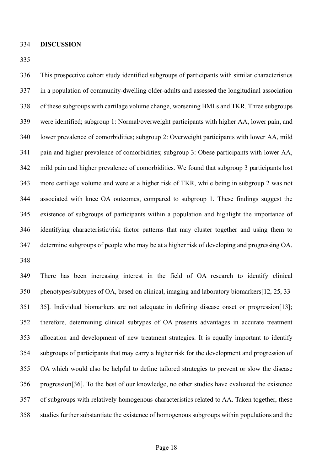This prospective cohort study identified subgroups of participants with similar characteristics in a population of community-dwelling older-adults and assessed the longitudinal association of these subgroups with cartilage volume change, worsening BMLs and TKR. Three subgroups were identified; subgroup 1: Normal/overweight participants with higher AA, lower pain, and lower prevalence of comorbidities; subgroup 2: Overweight participants with lower AA, mild pain and higher prevalence of comorbidities; subgroup 3: Obese participants with lower AA, mild pain and higher prevalence of comorbidities. We found that subgroup 3 participants lost more cartilage volume and were at a higher risk of TKR, while being in subgroup 2 was not associated with knee OA outcomes, compared to subgroup 1. These findings suggest the existence of subgroups of participants within a population and highlight the importance of identifying characteristic/risk factor patterns that may cluster together and using them to determine subgroups of people who may be at a higher risk of developing and progressing OA. 

 There has been increasing interest in the field of OA research to identify clinical phenotypes/subtypes of OA, based on clinical, imaging and laboratory biomarkers[12, 25, 33- 35]. Individual biomarkers are not adequate in defining disease onset or progression[13]; therefore, determining clinical subtypes of OA presents advantages in accurate treatment allocation and development of new treatment strategies. It is equally important to identify subgroups of participants that may carry a higher risk for the development and progression of OA which would also be helpful to define tailored strategies to prevent or slow the disease progression[36]. To the best of our knowledge, no other studies have evaluated the existence of subgroups with relatively homogenous characteristics related to AA. Taken together, these studies further substantiate the existence of homogenous subgroups within populations and the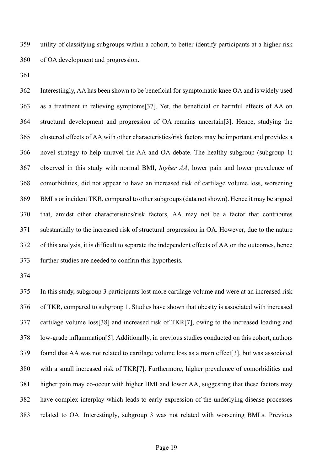utility of classifying subgroups within a cohort, to better identify participants at a higher risk of OA development and progression.

 Interestingly, AA has been shown to be beneficial for symptomatic knee OA and is widely used as a treatment in relieving symptoms[37]. Yet, the beneficial or harmful effects of AA on structural development and progression of OA remains uncertain[3]. Hence, studying the clustered effects of AA with other characteristics/risk factors may be important and provides a novel strategy to help unravel the AA and OA debate. The healthy subgroup (subgroup 1) observed in this study with normal BMI, *higher AA*, lower pain and lower prevalence of comorbidities, did not appear to have an increased risk of cartilage volume loss, worsening BMLs or incident TKR, compared to other subgroups (data not shown). Hence it may be argued that, amidst other characteristics/risk factors, AA may not be a factor that contributes substantially to the increased risk of structural progression in OA. However, due to the nature of this analysis, it is difficult to separate the independent effects of AA on the outcomes, hence further studies are needed to confirm this hypothesis.

 In this study, subgroup 3 participants lost more cartilage volume and were at an increased risk of TKR, compared to subgroup 1. Studies have shown that obesity is associated with increased cartilage volume loss[38] and increased risk of TKR[7], owing to the increased loading and low-grade inflammation[5]. Additionally, in previous studies conducted on this cohort, authors found that AA was not related to cartilage volume loss as a main effect[3], but was associated with a small increased risk of TKR[7]. Furthermore, higher prevalence of comorbidities and higher pain may co-occur with higher BMI and lower AA, suggesting that these factors may have complex interplay which leads to early expression of the underlying disease processes related to OA. Interestingly, subgroup 3 was not related with worsening BMLs. Previous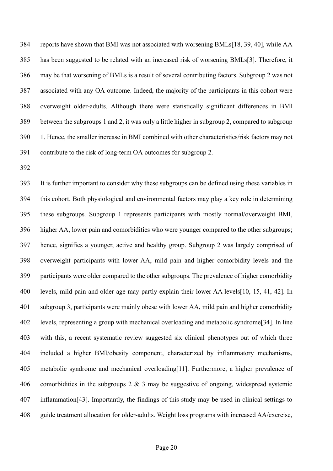reports have shown that BMI was not associated with worsening BMLs[18, 39, 40], while AA has been suggested to be related with an increased risk of worsening BMLs[3]. Therefore, it may be that worsening of BMLs is a result of several contributing factors. Subgroup 2 was not associated with any OA outcome. Indeed, the majority of the participants in this cohort were overweight older-adults. Although there were statistically significant differences in BMI between the subgroups 1 and 2, it was only a little higher in subgroup 2, compared to subgroup 1. Hence, the smaller increase in BMI combined with other characteristics/risk factors may not contribute to the risk of long-term OA outcomes for subgroup 2.

 It is further important to consider why these subgroups can be defined using these variables in this cohort. Both physiological and environmental factors may play a key role in determining these subgroups. Subgroup 1 represents participants with mostly normal/overweight BMI, higher AA, lower pain and comorbidities who were younger compared to the other subgroups; hence, signifies a younger, active and healthy group. Subgroup 2 was largely comprised of overweight participants with lower AA, mild pain and higher comorbidity levels and the participants were older compared to the other subgroups. The prevalence of higher comorbidity levels, mild pain and older age may partly explain their lower AA levels[10, 15, 41, 42]. In subgroup 3, participants were mainly obese with lower AA, mild pain and higher comorbidity levels, representing a group with mechanical overloading and metabolic syndrome[34]. In line with this, a recent systematic review suggested six clinical phenotypes out of which three included a higher BMI/obesity component, characterized by inflammatory mechanisms, metabolic syndrome and mechanical overloading[11]. Furthermore, a higher prevalence of 406 comorbidities in the subgroups  $2 \& 3$  may be suggestive of ongoing, widespread systemic inflammation[43]. Importantly, the findings of this study may be used in clinical settings to 408 guide treatment allocation for older-adults. Weight loss programs with increased AA/exercise,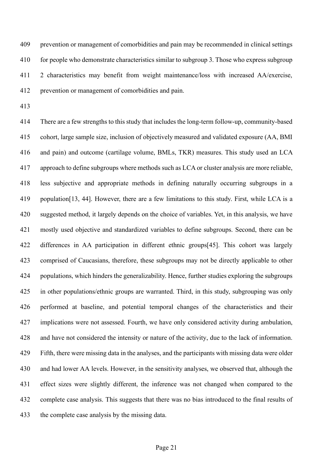prevention or management of comorbidities and pain may be recommended in clinical settings for people who demonstrate characteristics similar to subgroup 3. Those who express subgroup 2 characteristics may benefit from weight maintenance/loss with increased AA/exercise, prevention or management of comorbidities and pain.

 There are a few strengths to this study that includes the long-term follow-up, community-based cohort, large sample size, inclusion of objectively measured and validated exposure (AA, BMI and pain) and outcome (cartilage volume, BMLs, TKR) measures. This study used an LCA approach to define subgroups where methods such as LCA or cluster analysis are more reliable, less subjective and appropriate methods in defining naturally occurring subgroups in a population[13, 44]. However, there are a few limitations to this study. First, while LCA is a suggested method, it largely depends on the choice of variables. Yet, in this analysis, we have mostly used objective and standardized variables to define subgroups. Second, there can be differences in AA participation in different ethnic groups[45]. This cohort was largely comprised of Caucasians, therefore, these subgroups may not be directly applicable to other populations, which hinders the generalizability. Hence, further studies exploring the subgroups in other populations/ethnic groups are warranted. Third, in this study, subgrouping was only performed at baseline, and potential temporal changes of the characteristics and their implications were not assessed. Fourth, we have only considered activity during ambulation, and have not considered the intensity or nature of the activity, due to the lack of information. Fifth, there were missing data in the analyses, and the participants with missing data were older and had lower AA levels. However, in the sensitivity analyses, we observed that, although the effect sizes were slightly different, the inference was not changed when compared to the complete case analysis. This suggests that there was no bias introduced to the final results of the complete case analysis by the missing data.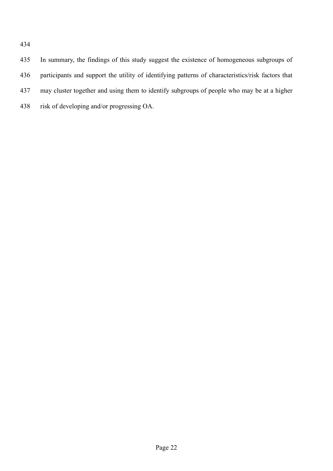In summary, the findings of this study suggest the existence of homogeneous subgroups of participants and support the utility of identifying patterns of characteristics/risk factors that may cluster together and using them to identify subgroups of people who may be at a higher risk of developing and/or progressing OA.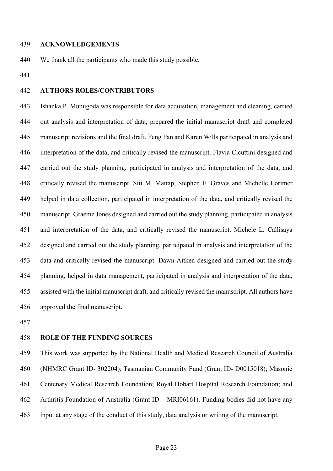#### **ACKNOWLEDGEMENTS**

We thank all the participants who made this study possible.

# **AUTHORS ROLES/CONTRIBUTORS**

 Ishanka P. Munugoda was responsible for data acquisition, management and cleaning, carried out analysis and interpretation of data, prepared the initial manuscript draft and completed manuscript revisions and the final draft. Feng Pan and Karen Wills participated in analysis and interpretation of the data, and critically revised the manuscript. Flavia Cicuttini designed and carried out the study planning, participated in analysis and interpretation of the data, and critically revised the manuscript. Siti M. Mattap, Stephen E. Graves and Michelle Lorimer helped in data collection, participated in interpretation of the data, and critically revised the manuscript. Graeme Jones designed and carried out the study planning, participated in analysis and interpretation of the data, and critically revised the manuscript. Michele L. Callisaya designed and carried out the study planning, participated in analysis and interpretation of the data and critically revised the manuscript. Dawn Aitken designed and carried out the study planning, helped in data management, participated in analysis and interpretation of the data, assisted with the initial manuscript draft, and critically revised the manuscript. All authors have approved the final manuscript.

### **ROLE OF THE FUNDING SOURCES**

 This work was supported by the National Health and Medical Research Council of Australia (NHMRC Grant ID- 302204); Tasmanian Community Fund (Grant ID- D0015018); Masonic Centenary Medical Research Foundation; Royal Hobart Hospital Research Foundation; and Arthritis Foundation of Australia (Grant ID – MRI06161). Funding bodies did not have any input at any stage of the conduct of this study, data analysis or writing of the manuscript.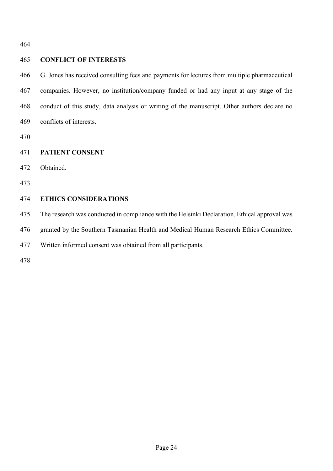# **CONFLICT OF INTERESTS**

 G. Jones has received consulting fees and payments for lectures from multiple pharmaceutical companies. However, no institution/company funded or had any input at any stage of the conduct of this study, data analysis or writing of the manuscript. Other authors declare no conflicts of interests.

# **PATIENT CONSENT**

Obtained.

# **ETHICS CONSIDERATIONS**

The research was conducted in compliance with the Helsinki Declaration. Ethical approval was

granted by the Southern Tasmanian Health and Medical Human Research Ethics Committee.

Written informed consent was obtained from all participants.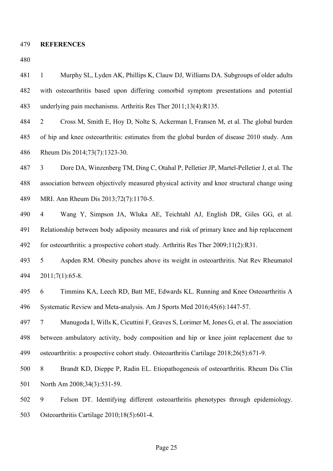#### **REFERENCES**

 1 Murphy SL, Lyden AK, Phillips K, Clauw DJ, Williams DA. Subgroups of older adults with osteoarthritis based upon differing comorbid symptom presentations and potential underlying pain mechanisms. Arthritis Res Ther 2011;13(4):R135.

 2 Cross M, Smith E, Hoy D, Nolte S, Ackerman I, Fransen M, et al. The global burden of hip and knee osteoarthritis: estimates from the global burden of disease 2010 study. Ann Rheum Dis 2014;73(7):1323-30.

 3 Dore DA, Winzenberg TM, Ding C, Otahal P, Pelletier JP, Martel-Pelletier J, et al. The association between objectively measured physical activity and knee structural change using MRI. Ann Rheum Dis 2013;72(7):1170-5.

 4 Wang Y, Simpson JA, Wluka AE, Teichtahl AJ, English DR, Giles GG, et al. Relationship between body adiposity measures and risk of primary knee and hip replacement for osteoarthritis: a prospective cohort study. Arthritis Res Ther 2009;11(2):R31.

 5 Aspden RM. Obesity punches above its weight in osteoarthritis. Nat Rev Rheumatol 2011;7(1):65-8.

 6 Timmins KA, Leech RD, Batt ME, Edwards KL. Running and Knee Osteoarthritis A Systematic Review and Meta-analysis. Am J Sports Med 2016;45(6):1447-57.

 7 Munugoda I, Wills K, Cicuttini F, Graves S, Lorimer M, Jones G, et al. The association between ambulatory activity, body composition and hip or knee joint replacement due to osteoarthritis: a prospective cohort study. Osteoarthritis Cartilage 2018;26(5):671-9.

 8 Brandt KD, Dieppe P, Radin EL. Etiopathogenesis of osteoarthritis. Rheum Dis Clin 501 North Am 2008;34(3):531-59.

 9 Felson DT. Identifying different osteoarthritis phenotypes through epidemiology. Osteoarthritis Cartilage 2010;18(5):601-4.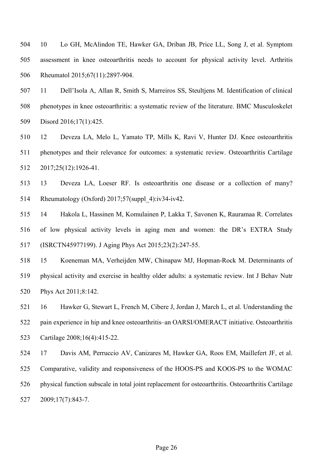10 Lo GH, McAlindon TE, Hawker GA, Driban JB, Price LL, Song J, et al. Symptom assessment in knee osteoarthritis needs to account for physical activity level. Arthritis Rheumatol 2015;67(11):2897-904.

 11 Dell'Isola A, Allan R, Smith S, Marreiros SS, Steultjens M. Identification of clinical phenotypes in knee osteoarthritis: a systematic review of the literature. BMC Musculoskelet Disord 2016;17(1):425.

 12 Deveza LA, Melo L, Yamato TP, Mills K, Ravi V, Hunter DJ. Knee osteoarthritis phenotypes and their relevance for outcomes: a systematic review. Osteoarthritis Cartilage 2017;25(12):1926-41.

 13 Deveza LA, Loeser RF. Is osteoarthritis one disease or a collection of many? Rheumatology (Oxford) 2017;57(suppl\_4):iv34-iv42.

 14 Hakola L, Hassinen M, Komulainen P, Lakka T, Savonen K, Rauramaa R. Correlates of low physical activity levels in aging men and women: the DR's EXTRA Study (ISRCTN45977199). J Aging Phys Act 2015;23(2):247-55.

 15 Koeneman MA, Verheijden MW, Chinapaw MJ, Hopman-Rock M. Determinants of physical activity and exercise in healthy older adults: a systematic review. Int J Behav Nutr Phys Act 2011;8:142.

 16 Hawker G, Stewart L, French M, Cibere J, Jordan J, March L, et al. Understanding the pain experience in hip and knee osteoarthritis–an OARSI/OMERACT initiative. Osteoarthritis Cartilage 2008;16(4):415-22.

 17 Davis AM, Perruccio AV, Canizares M, Hawker GA, Roos EM, Maillefert JF, et al. Comparative, validity and responsiveness of the HOOS-PS and KOOS-PS to the WOMAC physical function subscale in total joint replacement for osteoarthritis. Osteoarthritis Cartilage 2009;17(7):843-7.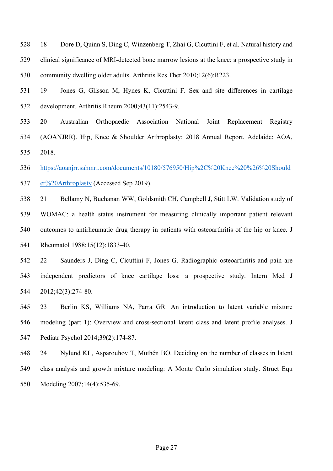- 18 Dore D, Quinn S, Ding C, Winzenberg T, Zhai G, Cicuttini F, et al. Natural history and clinical significance of MRI-detected bone marrow lesions at the knee: a prospective study in community dwelling older adults. Arthritis Res Ther 2010;12(6):R223.
- 19 Jones G, Glisson M, Hynes K, Cicuttini F. Sex and site differences in cartilage development. Arthritis Rheum 2000;43(11):2543-9.
- 20 Australian Orthopaedic Association National Joint Replacement Registry (AOANJRR). Hip, Knee & Shoulder Arthroplasty: 2018 Annual Report. Adelaide: AOA, 2018.
- [https://aoanjrr.sahmri.com/documents/10180/576950/Hip%2C%20Knee%20%26%20Should](https://aoanjrr.sahmri.com/documents/10180/576950/Hip%2C%20Knee%20%26%20Shoulder%20Arthroplasty) [er%20Arthroplasty](https://aoanjrr.sahmri.com/documents/10180/576950/Hip%2C%20Knee%20%26%20Shoulder%20Arthroplasty) (Accessed Sep 2019).
- 21 Bellamy N, Buchanan WW, Goldsmith CH, Campbell J, Stitt LW. Validation study of WOMAC: a health status instrument for measuring clinically important patient relevant outcomes to antirheumatic drug therapy in patients with osteoarthritis of the hip or knee. J Rheumatol 1988;15(12):1833-40.
- 22 Saunders J, Ding C, Cicuttini F, Jones G. Radiographic osteoarthritis and pain are independent predictors of knee cartilage loss: a prospective study. Intern Med J 2012;42(3):274-80.
- 23 Berlin KS, Williams NA, Parra GR. An introduction to latent variable mixture modeling (part 1): Overview and cross-sectional latent class and latent profile analyses. J Pediatr Psychol 2014;39(2):174-87.
- 24 Nylund KL, Asparouhov T, Muthén BO. Deciding on the number of classes in latent class analysis and growth mixture modeling: A Monte Carlo simulation study. Struct Equ Modeling 2007;14(4):535-69.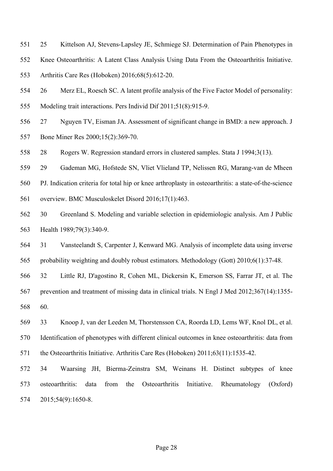- 25 Kittelson AJ, Stevens-Lapsley JE, Schmiege SJ. Determination of Pain Phenotypes in
- Knee Osteoarthritis: A Latent Class Analysis Using Data From the Osteoarthritis Initiative.
- Arthritis Care Res (Hoboken) 2016;68(5):612-20.
- 26 Merz EL, Roesch SC. A latent profile analysis of the Five Factor Model of personality: Modeling trait interactions. Pers Individ Dif 2011;51(8):915-9.
- 27 Nguyen TV, Eisman JA. Assessment of significant change in BMD: a new approach. J Bone Miner Res 2000;15(2):369-70.
- 28 Rogers W. Regression standard errors in clustered samples. Stata J 1994;3(13).
- 29 Gademan MG, Hofstede SN, Vliet Vlieland TP, Nelissen RG, Marang-van de Mheen
- PJ. Indication criteria for total hip or knee arthroplasty in osteoarthritis: a state-of-the-science
- overview. BMC Musculoskelet Disord 2016;17(1):463.
- 30 Greenland S. Modeling and variable selection in epidemiologic analysis. Am J Public Health 1989;79(3):340-9.
- 31 Vansteelandt S, Carpenter J, Kenward MG. Analysis of incomplete data using inverse probability weighting and doubly robust estimators. Methodology (Gott) 2010;6(1):37-48.
- 32 Little RJ, D'agostino R, Cohen ML, Dickersin K, Emerson SS, Farrar JT, et al. The prevention and treatment of missing data in clinical trials. N Engl J Med 2012;367(14):1355- 60.
- 33 Knoop J, van der Leeden M, Thorstensson CA, Roorda LD, Lems WF, Knol DL, et al. Identification of phenotypes with different clinical outcomes in knee osteoarthritis: data from the Osteoarthritis Initiative. Arthritis Care Res (Hoboken) 2011;63(11):1535-42.
- 34 Waarsing JH, Bierma-Zeinstra SM, Weinans H. Distinct subtypes of knee osteoarthritis: data from the Osteoarthritis Initiative. Rheumatology (Oxford) 2015;54(9):1650-8.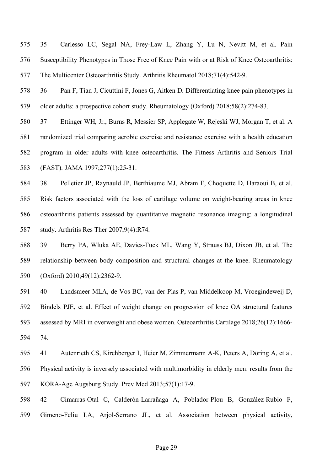35 Carlesso LC, Segal NA, Frey‐Law L, Zhang Y, Lu N, Nevitt M, et al. Pain Susceptibility Phenotypes in Those Free of Knee Pain with or at Risk of Knee Osteoarthritis: The Multicenter Osteoarthritis Study. Arthritis Rheumatol 2018;71(4):542-9.

 36 Pan F, Tian J, Cicuttini F, Jones G, Aitken D. Differentiating knee pain phenotypes in older adults: a prospective cohort study. Rheumatology (Oxford) 2018;58(2):274-83.

 37 Ettinger WH, Jr., Burns R, Messier SP, Applegate W, Rejeski WJ, Morgan T, et al. A randomized trial comparing aerobic exercise and resistance exercise with a health education program in older adults with knee osteoarthritis. The Fitness Arthritis and Seniors Trial (FAST). JAMA 1997;277(1):25-31.

 38 Pelletier JP, Raynauld JP, Berthiaume MJ, Abram F, Choquette D, Haraoui B, et al. Risk factors associated with the loss of cartilage volume on weight-bearing areas in knee osteoarthritis patients assessed by quantitative magnetic resonance imaging: a longitudinal study. Arthritis Res Ther 2007;9(4):R74.

 39 Berry PA, Wluka AE, Davies-Tuck ML, Wang Y, Strauss BJ, Dixon JB, et al. The relationship between body composition and structural changes at the knee. Rheumatology (Oxford) 2010;49(12):2362-9.

 40 Landsmeer MLA, de Vos BC, van der Plas P, van Middelkoop M, Vroegindeweij D, Bindels PJE, et al. Effect of weight change on progression of knee OA structural features assessed by MRI in overweight and obese women. Osteoarthritis Cartilage 2018;26(12):1666- 74.

 41 Autenrieth CS, Kirchberger I, Heier M, Zimmermann A-K, Peters A, Döring A, et al. Physical activity is inversely associated with multimorbidity in elderly men: results from the KORA-Age Augsburg Study. Prev Med 2013;57(1):17-9.

42 Cimarras-Otal C, Calderón-Larrañaga A, Poblador-Plou B, González-Rubio F,

Gimeno-Feliu LA, Arjol-Serrano JL, et al. Association between physical activity,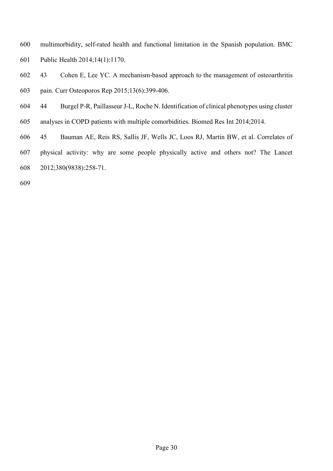- multimorbidity, self-rated health and functional limitation in the Spanish population. BMC Public Health 2014;14(1):1170.
- 43 Cohen E, Lee YC. A mechanism-based approach to the management of osteoarthritis pain. Curr Osteoporos Rep 2015;13(6):399-406.
- 44 Burgel P-R, Paillasseur J-L, Roche N. Identification of clinical phenotypes using cluster
- analyses in COPD patients with multiple comorbidities. Biomed Res Int 2014;2014.
- 45 Bauman AE, Reis RS, Sallis JF, Wells JC, Loos RJ, Martin BW, et al. Correlates of
- physical activity: why are some people physically active and others not? The Lancet 2012;380(9838):258-71.
-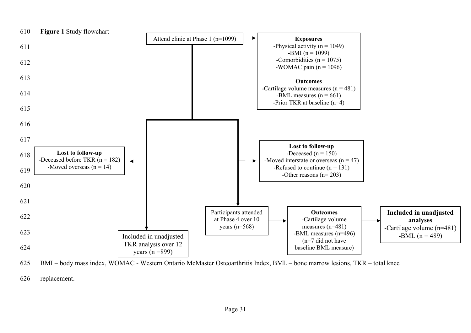

625 BMI – body mass index, WOMAC - Western Ontario McMaster Osteoarthritis Index, BML – bone marrow lesions, TKR – total knee

626 replacement.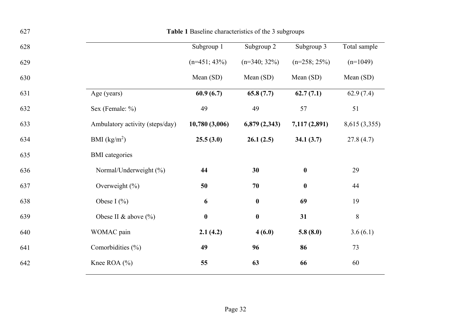| 627 | Table 1 Baseline characteristics of the 3 subgroups |                  |                  |                  |               |  |
|-----|-----------------------------------------------------|------------------|------------------|------------------|---------------|--|
| 628 |                                                     | Subgroup 1       | Subgroup 2       | Subgroup 3       | Total sample  |  |
| 629 |                                                     | $(n=451; 43\%)$  | $(n=340; 32\%)$  | $(n=258; 25\%)$  | $(n=1049)$    |  |
| 630 |                                                     | Mean (SD)        | Mean (SD)        | Mean (SD)        | Mean (SD)     |  |
| 631 | Age (years)                                         | 60.9(6.7)        | 65.8(7.7)        | 62.7(7.1)        | 62.9(7.4)     |  |
| 632 | Sex (Female: %)                                     | 49               | 49               | 57               | 51            |  |
| 633 | Ambulatory activity (steps/day)                     | 10,780(3,006)    | 6,879(2,343)     | 7,117 (2,891)    | 8,615 (3,355) |  |
| 634 | BMI $(kg/m2)$                                       | 25.5(3.0)        | 26.1(2.5)        | 34.1(3.7)        | 27.8(4.7)     |  |
| 635 | <b>BMI</b> categories                               |                  |                  |                  |               |  |
| 636 | Normal/Underweight (%)                              | 44               | 30               | $\boldsymbol{0}$ | 29            |  |
| 637 | Overweight $(\% )$                                  | 50               | 70               | $\boldsymbol{0}$ | 44            |  |
| 638 | Obese I $(\% )$                                     | 6                | $\boldsymbol{0}$ | 69               | 19            |  |
| 639 | Obese II & above (%)                                | $\boldsymbol{0}$ | $\boldsymbol{0}$ | 31               | $\,8\,$       |  |
| 640 | WOMAC pain                                          | 2.1(4.2)         | 4(6.0)           | 5.8(8.0)         | 3.6(6.1)      |  |
| 641 | Comorbidities (%)                                   | 49               | 96               | 86               | 73            |  |
| 642 | Knee ROA $(\% )$                                    | 55               | 63               | 66               | 60            |  |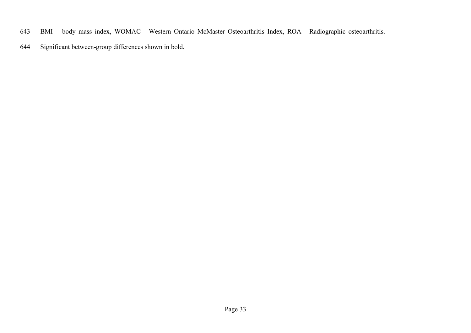- BMI body mass index, WOMAC Western Ontario McMaster Osteoarthritis Index, ROA Radiographic osteoarthritis.
- Significant between-group differences shown in bold.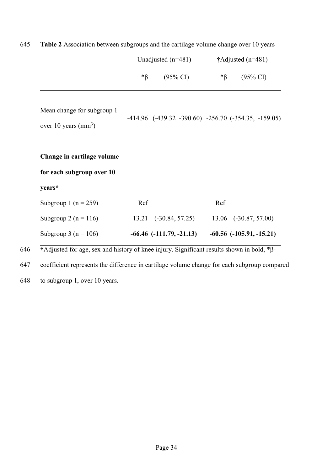|                                                         | Unadjusted $(n=481)$ |                                                              | †Adjusted (n=481) |                              |
|---------------------------------------------------------|----------------------|--------------------------------------------------------------|-------------------|------------------------------|
|                                                         | $\mathbf{A}^*$       | $(95\% \text{ CI})$                                          | $\mathbf{A}^*$    | $(95\% \text{ CI})$          |
| Mean change for subgroup 1<br>over 10 years ( $mm3$ )   |                      | $-414.96$ $(-439.32 -390.60)$ $-256.70$ $(-354.35, -159.05)$ |                   |                              |
| Change in cartilage volume<br>for each subgroup over 10 |                      |                                                              |                   |                              |
| years*                                                  |                      |                                                              |                   |                              |
| Subgroup 1 ( $n = 259$ )                                | Ref                  |                                                              | Ref               |                              |
| Subgroup 2 ( $n = 116$ )                                |                      | 13.21 (-30.84, 57.25)                                        |                   | 13.06 (-30.87, 57.00)        |
| Subgroup 3 ( $n = 106$ )                                |                      | $-66.46$ $(-111.79, -21.13)$                                 |                   | $-60.56$ $(-105.91, -15.21)$ |

| 645 |  |  |  | <b>Table 2</b> Association between subgroups and the cartilage volume change over 10 years |
|-----|--|--|--|--------------------------------------------------------------------------------------------|
|-----|--|--|--|--------------------------------------------------------------------------------------------|

646 †Adjusted for age, sex and history of knee injury. Significant results shown in bold, \*β-

647 coefficient represents the difference in cartilage volume change for each subgroup compared

648 to subgroup 1, over 10 years.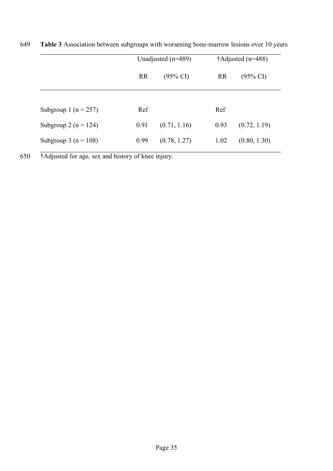|                          | Unadjusted $(n=489)$             |              | $\dagger$ Adjusted (n=488) |                     |
|--------------------------|----------------------------------|--------------|----------------------------|---------------------|
|                          | <b>RR</b><br>$(95\% \text{ CI})$ |              | <b>RR</b>                  | $(95\% \text{ CI})$ |
| Subgroup 1 ( $n = 257$ ) | Ref                              |              | Ref                        |                     |
| Subgroup 2 ( $n = 124$ ) | 0.91                             | (0.71, 1.16) | 0.93                       | (0.72, 1.19)        |
| Subgroup 3 ( $n = 108$ ) | 0.99                             | (0.78, 1.27) | 1.02                       | (0.80, 1.30)        |

649 **Table 3** Association between subgroups with worsening bone-marrow lesions over 10 years

650 †Adjusted for age, sex and history of knee injury.